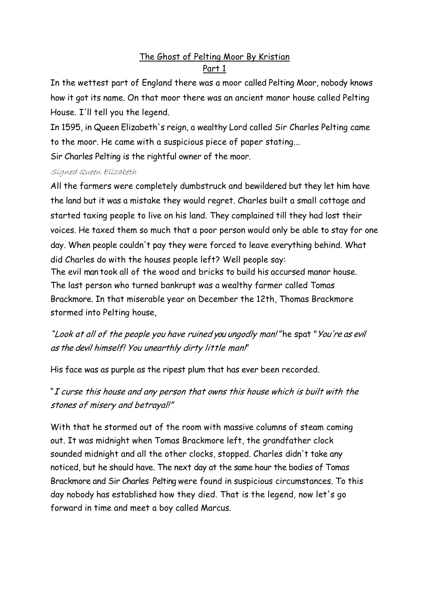## The Ghost of Pelting Moor By Kristian Part 1

In the wettest part of England there was a moor called Pelting Moor, nobody knows how it got its name. On that moor there was an ancient manor house called Pelting House. I'll tell you the legend.

In 1595, in Queen Elizabeth's reign, a wealthy Lord called Sir Charles Pelting came to the moor. He came with a suspicious piece of paper stating...

Sir Charles Pelting is the rightful owner of the moor.

### Signed Queen Elizabeth

All the farmers were completely dumbstruck and bewildered but they let him have the land but it was a mistake they would regret. Charles built a small cottage and started taxing people to live on his land. They complained till they had lost their voices. He taxed them so much that a poor person would only be able to stay for one day. When people couldn't pay they were forced to leave everything behind. What did Charles do with the houses people left? Well people say:

The evil man took all of the wood and bricks to build his accursed manor house. The last person who turned bankrupt was a wealthy farmer called Tomas Brackmore. In that miserable year on December the 12th, Thomas Brackmore stormed into Pelting house,

"Look at all of the people you have ruined you ungodly man!" he spat "You're as evil as the devil himself! You unearthly dirty little man!"

His face was as purple as the ripest plum that has ever been recorded.

"I curse this house and any person that owns this house which is built with the stones of misery and betrayal!"

With that he stormed out of the room with massive columns of steam coming out. It was midnight when Tomas Brackmore left, the grandfather clock sounded midnight and all the other clocks, stopped. Charles didn't take any noticed, but he should have. The next day at the same hour the bodies of Tomas Brackmore and Sir Charles Pelting were found in suspicious circumstances. To this day nobody has established how they died. That is the legend, now let's go forward in time and meet a boy called Marcus.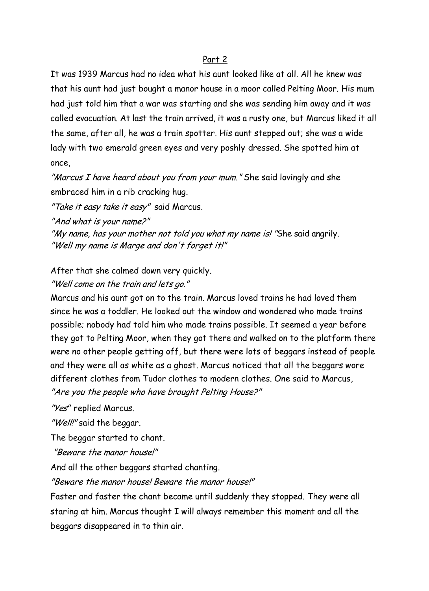#### Part 2

It was 1939 Marcus had no idea what his aunt looked like at all. All he knew was that his aunt had just bought a manor house in a moor called Pelting Moor. His mum had just told him that a war was starting and she was sending him away and it was called evacuation. At last the train arrived, it was a rusty one, but Marcus liked it all the same, after all, he was a train spotter. His aunt stepped out; she was a wide lady with two emerald green eyes and very poshly dressed. She spotted him at once,

"Marcus I have heard about you from your mum." She said lovingly and she embraced him in a rib cracking hug.

"Take it easy take it easy" said Marcus.

"And what is your name?"

"My name, has your mother not told you what my name is! "She said angrily. "Well my name is Marge and don't forget it!"

After that she calmed down very quickly.

"Well come on the train and lets go."

Marcus and his aunt got on to the train. Marcus loved trains he had loved them since he was a toddler. He looked out the window and wondered who made trains possible; nobody had told him who made trains possible. It seemed a year before they got to Pelting Moor, when they got there and walked on to the platform there were no other people getting off, but there were lots of beggars instead of people and they were all as white as a ghost. Marcus noticed that all the beggars wore different clothes from Tudor clothes to modern clothes. One said to Marcus, "Are you the people who have brought Pelting House?"

"Yes" replied Marcus.

"Well!" said the beggar.

The beggar started to chant.

"Beware the manor house!"

And all the other beggars started chanting.

"Beware the manor house! Beware the manor house!"

Faster and faster the chant became until suddenly they stopped. They were all staring at him. Marcus thought I will always remember this moment and all the beggars disappeared in to thin air.